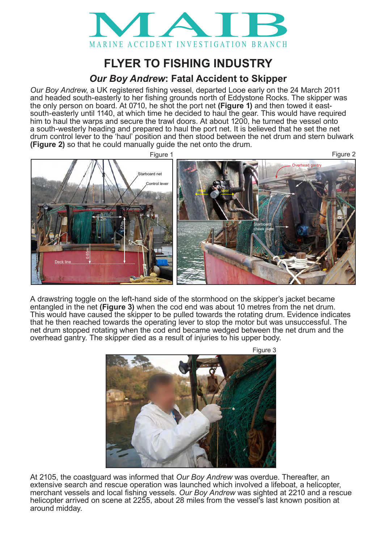

## **FLYER TO FISHING INDUSTRY**

## *Our Boy Andrew***: Fatal Accident to Skipper**

*Our Boy Andrew*, a UK registered fishing vessel, departed Looe early on the 24 March 2011 and headed south-easterly to her fishing grounds north of Eddystone Rocks. The skipper was the only person on board. At 0710, he shot the port net **(Figure 1)** and then towed it eastsouth-easterly until 1140, at which time he decided to haul the gear. This would have required him to haul the warps and secure the trawl doors. At about 1200, he turned the vessel onto a south-westerly heading and prepared to haul the port net. It is believed that he set the net drum control lever to the 'haul' position and then stood between the net drum and stern bulwark **(Figure 2)** so that he could manually guide the net onto the drum.



A drawstring toggle on the left-hand side of the stormhood on the skipper's jacket became entangled in the net (Figure 3) when the cod end was about 10 metres from the net drum. This would have caused the skipper to be pulled towards the rotating drum. Evidence indicates that he then reached towards the operating lever to stop the notor but was unsuccessful. The net drum stopped rotating when the cod end became wedged between the net drum and the overhead gantry. The skipper died as a result of injuries to his upper body. **1.4.1 General**



At 2105, the coastguard was informed that *Our Boy Andrew* was overdue. Thereafter, an extensive search and rescue operation was launched which involved a lifeboat, a helicopter, merchant vessels and local fishing vessels. *Our Boy Andrew* was sighted at 2210 and a rescue helicopter arrived on scene at 2255, about 28 miles from the vessel's last known position at around midday.